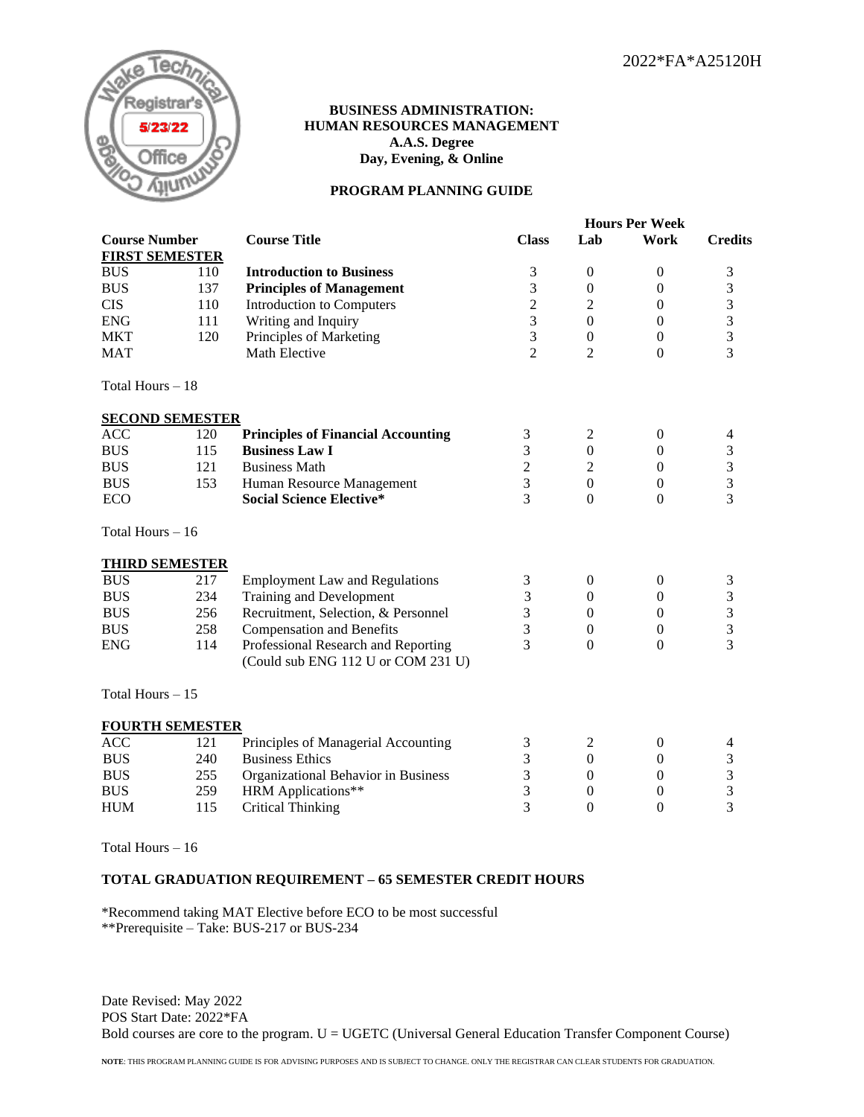

## **BUSINESS ADMINISTRATION: HUMAN RESOURCES MANAGEMENT A.A.S. Degree Day, Evening, & Online**

## **PROGRAM PLANNING GUIDE**

|                        |     |                                           | <b>Hours Per Week</b>       |                  |                  |                |  |
|------------------------|-----|-------------------------------------------|-----------------------------|------------------|------------------|----------------|--|
| <b>Course Number</b>   |     | <b>Course Title</b>                       | <b>Class</b>                | Lab              | Work             | <b>Credits</b> |  |
| <b>FIRST SEMESTER</b>  |     |                                           |                             |                  |                  |                |  |
| <b>BUS</b>             | 110 | <b>Introduction to Business</b>           | $\ensuremath{\mathfrak{Z}}$ | $\boldsymbol{0}$ | $\boldsymbol{0}$ | $\mathfrak 3$  |  |
| <b>BUS</b>             | 137 | <b>Principles of Management</b>           | 3                           | $\boldsymbol{0}$ | $\boldsymbol{0}$ | 3              |  |
| <b>CIS</b>             | 110 | Introduction to Computers                 | $\overline{c}$              | 2                | $\boldsymbol{0}$ | $\mathfrak{Z}$ |  |
| <b>ENG</b>             | 111 | Writing and Inquiry                       | 3                           | $\mathbf{0}$     | $\boldsymbol{0}$ | 3              |  |
| <b>MKT</b>             | 120 | Principles of Marketing                   | 3                           | $\boldsymbol{0}$ | $\boldsymbol{0}$ | 3              |  |
| <b>MAT</b>             |     | Math Elective                             | $\overline{2}$              | $\overline{2}$   | $\mathbf{0}$     | 3              |  |
| Total Hours - 18       |     |                                           |                             |                  |                  |                |  |
| <b>SECOND SEMESTER</b> |     |                                           |                             |                  |                  |                |  |
| <b>ACC</b>             | 120 | <b>Principles of Financial Accounting</b> | 3                           | $\overline{2}$   | $\boldsymbol{0}$ | 4              |  |
| <b>BUS</b>             | 115 | <b>Business Law I</b>                     | 3                           | $\boldsymbol{0}$ | $\boldsymbol{0}$ | 3              |  |
| <b>BUS</b>             | 121 | <b>Business Math</b>                      | $\overline{c}$              | $\overline{c}$   | $\boldsymbol{0}$ | 3              |  |
| <b>BUS</b>             | 153 | Human Resource Management                 | 3                           | $\overline{0}$   | $\boldsymbol{0}$ | 3              |  |
| <b>ECO</b>             |     | <b>Social Science Elective*</b>           | 3                           | $\overline{0}$   | $\mathbf{0}$     | 3              |  |
| Total Hours $-16$      |     |                                           |                             |                  |                  |                |  |
| <b>THIRD SEMESTER</b>  |     |                                           |                             |                  |                  |                |  |
| <b>BUS</b>             | 217 | <b>Employment Law and Regulations</b>     | 3                           | $\boldsymbol{0}$ | $\boldsymbol{0}$ | $\mathfrak 3$  |  |
| <b>BUS</b>             | 234 | Training and Development                  | 3                           | $\mathbf{0}$     | $\boldsymbol{0}$ | $\mathfrak{Z}$ |  |
| <b>BUS</b>             | 256 | Recruitment, Selection, & Personnel       | 3                           | $\boldsymbol{0}$ | $\boldsymbol{0}$ | $\mathfrak{Z}$ |  |
| <b>BUS</b>             | 258 | <b>Compensation and Benefits</b>          | 3                           | $\boldsymbol{0}$ | $\boldsymbol{0}$ | 3              |  |
| <b>ENG</b>             | 114 | Professional Research and Reporting       | 3                           | $\mathbf{0}$     | $\boldsymbol{0}$ | 3              |  |
|                        |     | (Could sub ENG 112 U or COM 231 U)        |                             |                  |                  |                |  |
| Total Hours $-15$      |     |                                           |                             |                  |                  |                |  |
| <b>FOURTH SEMESTER</b> |     |                                           |                             |                  |                  |                |  |
| <b>ACC</b>             | 121 | Principles of Managerial Accounting       | 3                           | $\mathfrak{2}$   | $\boldsymbol{0}$ | 4              |  |
| <b>BUS</b>             | 240 | <b>Business Ethics</b>                    | $\overline{3}$              | $\overline{0}$   | $\boldsymbol{0}$ | $\mathfrak{Z}$ |  |
| <b>BUS</b>             | 255 | Organizational Behavior in Business       | $\overline{3}$              | $\mathbf{0}$     | $\boldsymbol{0}$ | 3              |  |
| <b>BUS</b>             | 259 | <b>HRM</b> Applications**                 | 3                           | $\boldsymbol{0}$ | $\boldsymbol{0}$ | 3              |  |
| <b>HUM</b>             | 115 | <b>Critical Thinking</b>                  | $\overline{3}$              | $\mathbf{0}$     | $\boldsymbol{0}$ | $\overline{3}$ |  |
|                        |     |                                           |                             |                  |                  |                |  |

Total Hours – 16

## **TOTAL GRADUATION REQUIREMENT – 65 SEMESTER CREDIT HOURS**

\*Recommend taking MAT Elective before ECO to be most successful \*\*Prerequisite – Take: BUS-217 or BUS-234

Date Revised: May 2022 POS Start Date: 2022\*FA Bold courses are core to the program. U = UGETC (Universal General Education Transfer Component Course)